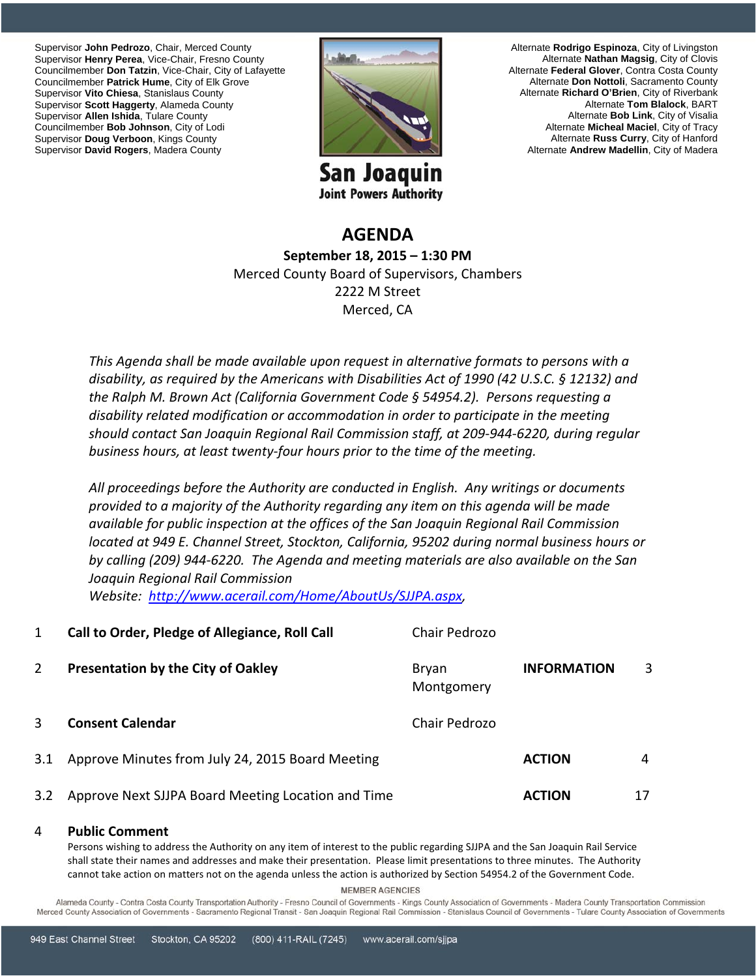Supervisor **John Pedrozo**, Chair, Merced County Supervisor **Henry Perea**, Vice-Chair, Fresno County Councilmember **Don Tatzin**, Vice-Chair, City of Lafayette Councilmember **Patrick Hume**, City of Elk Grove Supervisor **Vito Chiesa**, Stanislaus County Supervisor **Scott Haggerty**, Alameda County Supervisor **Allen Ishida**, Tulare County Councilmember **Bob Johnson**, City of Lodi Supervisor **Doug Verboon**, Kings County Supervisor **David Rogers**, Madera County



San Joaquin **Joint Powers Authority** 

Alternate **Rodrigo Espinoza**, City of Livingston Alternate **Nathan Magsig**, City of Clovis Alternate **Federal Glover**, Contra Costa County Alternate **Don Nottoli**, Sacramento County Alternate **Richard O'Brien**, City of Riverbank Alternate **Tom Blalock**, BART Alternate **Bob Link**, City of Visalia Alternate **Micheal Maciel**, City of Tracy Alternate **Russ Curry**, City of Hanford Alternate **Andrew Madellin**, City of Madera

## **AGENDA September 18, 2015 – 1:30 PM** Merced County Board of Supervisors, Chambers 2222 M Street Merced, CA

*This Agenda shall be made available upon request in alternative formats to persons with a disability, as required by the Americans with Disabilities Act of 1990 (42 U.S.C. § 12132) and the Ralph M. Brown Act (California Government Code § 54954.2). Persons requesting a disability related modification or accommodation in order to participate in the meeting should contact San Joaquin Regional Rail Commission staff, at 209‐944‐6220, during regular business hours, at least twenty‐four hours prior to the time of the meeting.*

*All proceedings before the Authority are conducted in English. Any writings or documents provided to a majority of the Authority regarding any item on this agenda will be made available for public inspection at the offices of the San Joaquin Regional Rail Commission located at 949 E. Channel Street, Stockton, California, 95202 during normal business hours or by calling (209) 944‐6220. The Agenda and meeting materials are also available on the San Joaquin Regional Rail Commission*

*Website: http://www.acerail.com/Home/AboutUs/SJJPA.aspx,* 

| $\mathbf{1}$   | Call to Order, Pledge of Allegiance, Roll Call     | Chair Pedrozo       |                    |    |
|----------------|----------------------------------------------------|---------------------|--------------------|----|
| $\overline{2}$ | <b>Presentation by the City of Oakley</b>          | Bryan<br>Montgomery | <b>INFORMATION</b> | 3  |
| 3              | <b>Consent Calendar</b>                            | Chair Pedrozo       |                    |    |
| 3.1            | Approve Minutes from July 24, 2015 Board Meeting   |                     | <b>ACTION</b>      | 4  |
| 3.2            | Approve Next SJJPA Board Meeting Location and Time |                     | <b>ACTION</b>      | 17 |

## 4 **Public Comment**

Persons wishing to address the Authority on any item of interest to the public regarding SJJPA and the San Joaquin Rail Service shall state their names and addresses and make their presentation. Please limit presentations to three minutes. The Authority cannot take action on matters not on the agenda unless the action is authorized by Section 54954.2 of the Government Code.

**MEMBER AGENCIES** 

Alameda County - Contra Costa County Transportation Authority - Fresno Council of Governments - Kings County Association of Governments - Madera County Transportation Commission Merced County Association of Governments - Sacramento Regional Transit - San Joaquin Regional Rail Commission - Stanislaus Council of Governments - Tulare County Association of Governments